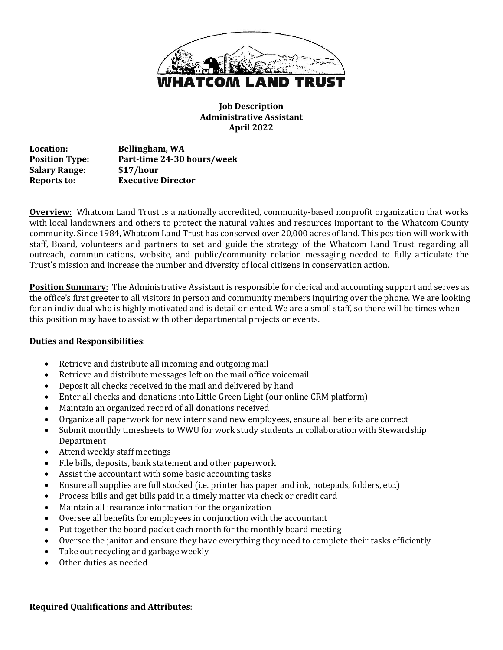

**Job Description Administrative Assistant April 2022**

**Location: Bellingham, WA Position Type: Part-time 24-30 hours/week Salary Range: \$17/hour Reports to: Executive Director** 

**Overview:** Whatcom Land Trust is a nationally accredited, community-based nonprofit organization that works with local landowners and others to protect the natural values and resources important to the Whatcom County community. Since 1984, Whatcom Land Trust has conserved over 20,000 acres of land. This position will work with staff, Board, volunteers and partners to set and guide the strategy of the Whatcom Land Trust regarding all outreach, communications, website, and public/community relation messaging needed to fully articulate the Trust's mission and increase the number and diversity of local citizens in conservation action.

**Position Summary:** The Administrative Assistant is responsible for clerical and accounting support and serves as the office's first greeter to all visitors in person and community members inquiring over the phone. We are looking for an individual who is highly motivated and is detail oriented. We are a small staff, so there will be times when this position may have to assist with other departmental projects or events.

## **Duties and Responsibilities**:

- Retrieve and distribute all incoming and outgoing mail
- Retrieve and distribute messages left on the mail office voicemail
- Deposit all checks received in the mail and delivered by hand
- Enter all checks and donations into Little Green Light (our online CRM platform)
- Maintain an organized record of all donations received
- Organize all paperwork for new interns and new employees, ensure all benefits are correct
- Submit monthly timesheets to WWU for work study students in collaboration with Stewardship Department
- Attend weekly staff meetings
- File bills, deposits, bank statement and other paperwork
- Assist the accountant with some basic accounting tasks
- Ensure all supplies are full stocked (i.e. printer has paper and ink, notepads, folders, etc.)
- Process bills and get bills paid in a timely matter via check or credit card
- Maintain all insurance information for the organization
- Oversee all benefits for employees in conjunction with the accountant
- Put together the board packet each month for the monthly board meeting
- Oversee the janitor and ensure they have everything they need to complete their tasks efficiently
- Take out recycling and garbage weekly
- Other duties as needed

**Required Qualifications and Attributes**: